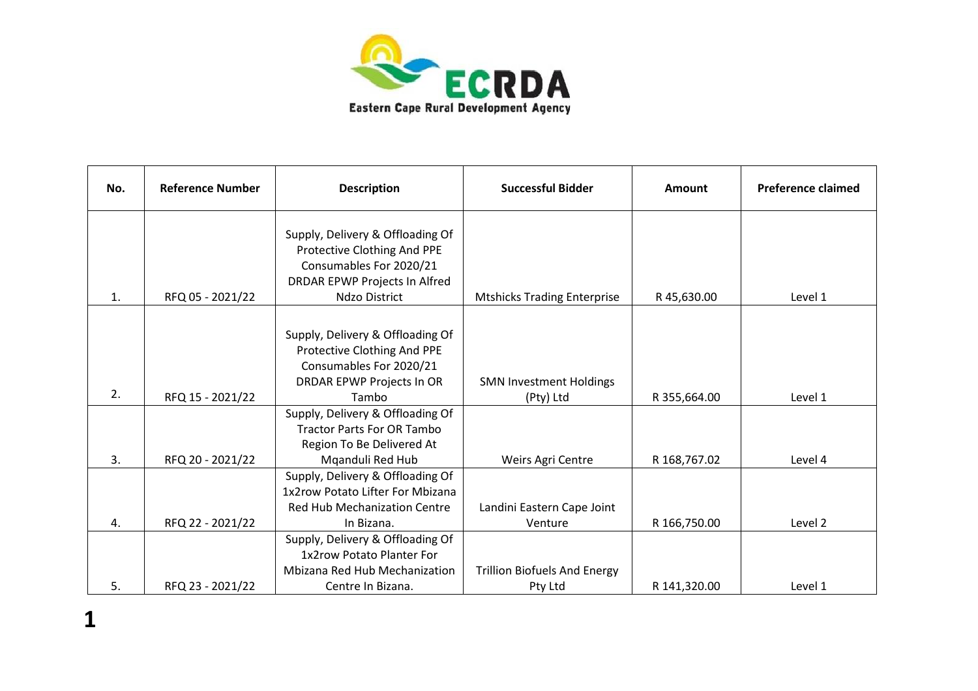

| No. | <b>Reference Number</b> | <b>Description</b>                                       | <b>Successful Bidder</b>            | Amount       | <b>Preference claimed</b> |
|-----|-------------------------|----------------------------------------------------------|-------------------------------------|--------------|---------------------------|
|     |                         | Supply, Delivery & Offloading Of                         |                                     |              |                           |
|     |                         | Protective Clothing And PPE                              |                                     |              |                           |
|     |                         | Consumables For 2020/21<br>DRDAR EPWP Projects In Alfred |                                     |              |                           |
| 1.  | RFQ 05 - 2021/22        | Ndzo District                                            | <b>Mtshicks Trading Enterprise</b>  | R45,630.00   | Level 1                   |
|     |                         |                                                          |                                     |              |                           |
|     |                         | Supply, Delivery & Offloading Of                         |                                     |              |                           |
|     |                         | Protective Clothing And PPE                              |                                     |              |                           |
|     |                         | Consumables For 2020/21                                  |                                     |              |                           |
|     |                         | <b>DRDAR EPWP Projects In OR</b>                         | <b>SMN Investment Holdings</b>      |              |                           |
| 2.  | RFQ 15 - 2021/22        | Tambo                                                    | (Pty) Ltd                           | R 355,664.00 | Level 1                   |
|     |                         | Supply, Delivery & Offloading Of                         |                                     |              |                           |
|     |                         | <b>Tractor Parts For OR Tambo</b>                        |                                     |              |                           |
|     |                         | Region To Be Delivered At                                |                                     |              |                           |
| 3.  | RFQ 20 - 2021/22        | Mganduli Red Hub                                         | Weirs Agri Centre                   | R 168,767.02 | Level 4                   |
|     |                         | Supply, Delivery & Offloading Of                         |                                     |              |                           |
|     |                         | 1x2row Potato Lifter For Mbizana                         |                                     |              |                           |
|     |                         | <b>Red Hub Mechanization Centre</b>                      | Landini Eastern Cape Joint          |              |                           |
| 4.  | RFQ 22 - 2021/22        | In Bizana.                                               | Venture                             | R 166,750.00 | Level 2                   |
|     |                         | Supply, Delivery & Offloading Of                         |                                     |              |                           |
|     |                         | 1x2row Potato Planter For                                |                                     |              |                           |
|     |                         | Mbizana Red Hub Mechanization                            | <b>Trillion Biofuels And Energy</b> |              |                           |
| 5.  | RFQ 23 - 2021/22        | Centre In Bizana.                                        | Pty Ltd                             | R 141,320.00 | Level 1                   |

**1**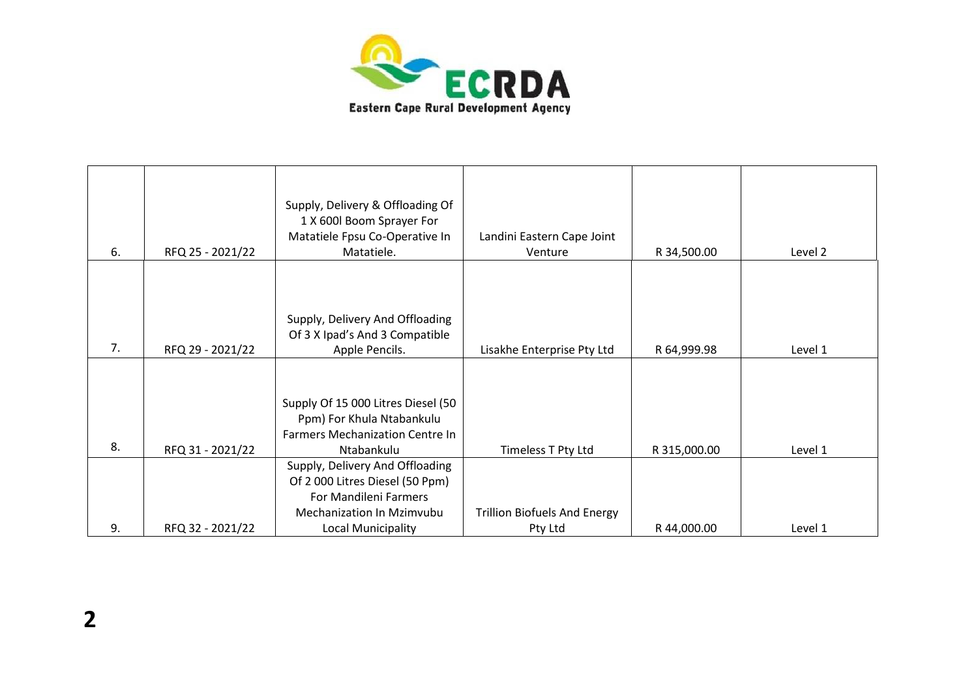

|    |                  | Supply, Delivery & Offloading Of<br>1 X 600l Boom Sprayer For<br>Matatiele Fpsu Co-Operative In | Landini Eastern Cape Joint          |              |         |
|----|------------------|-------------------------------------------------------------------------------------------------|-------------------------------------|--------------|---------|
| 6. | RFQ 25 - 2021/22 | Matatiele.                                                                                      | Venture                             | R 34,500.00  | Level 2 |
| 7. | RFQ 29 - 2021/22 | Supply, Delivery And Offloading<br>Of 3 X Ipad's And 3 Compatible<br>Apple Pencils.             | Lisakhe Enterprise Pty Ltd          | R 64,999.98  | Level 1 |
|    |                  |                                                                                                 |                                     |              |         |
|    |                  | Supply Of 15 000 Litres Diesel (50                                                              |                                     |              |         |
|    |                  | Ppm) For Khula Ntabankulu                                                                       |                                     |              |         |
|    |                  | <b>Farmers Mechanization Centre In</b>                                                          |                                     |              |         |
| 8. | RFQ 31 - 2021/22 | Ntabankulu                                                                                      | Timeless T Pty Ltd                  | R 315,000.00 | Level 1 |
|    |                  | Supply, Delivery And Offloading                                                                 |                                     |              |         |
|    |                  | Of 2000 Litres Diesel (50 Ppm)                                                                  |                                     |              |         |
|    |                  | For Mandileni Farmers                                                                           |                                     |              |         |
|    |                  | Mechanization In Mzimvubu                                                                       | <b>Trillion Biofuels And Energy</b> |              |         |
| 9. | RFQ 32 - 2021/22 | Local Municipality                                                                              | Pty Ltd                             | R 44,000.00  | Level 1 |